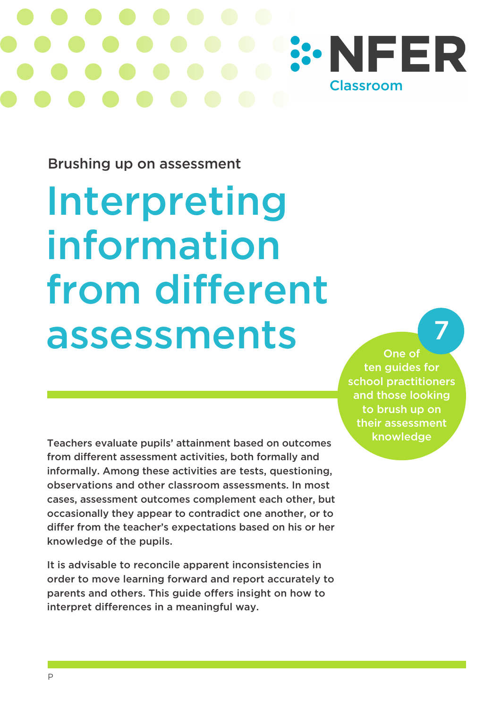

Brushing up on assessment

# Interpreting information from different assessments

One of ten guides for school practitioners and those looking to brush up on their assessment knowledge

7

Teachers evaluate pupils' attainment based on outcomes from different assessment activities, both formally and informally. Among these activities are tests, questioning, observations and other classroom assessments. In most cases, assessment outcomes complement each other, but occasionally they appear to contradict one another, or to differ from the teacher's expectations based on his or her knowledge of the pupils.

It is advisable to reconcile apparent inconsistencies in order to move learning forward and report accurately to parents and others. This guide offers insight on how to interpret differences in a meaningful way.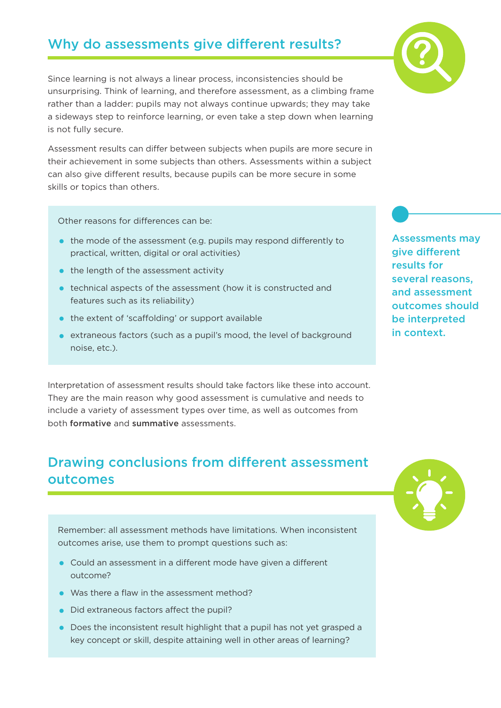### Why do assessments give different results?

Since learning is not always a linear process, inconsistencies should be unsurprising. Think of learning, and therefore assessment, as a climbing frame rather than a ladder: pupils may not always continue upwards; they may take a sideways step to reinforce learning, or even take a step down when learning is not fully secure.

Assessment results can differ between subjects when pupils are more secure in their achievement in some subjects than others. Assessments within a subject can also give different results, because pupils can be more secure in some skills or topics than others.

Other reasons for differences can be:

- the mode of the assessment (e.g. pupils may respond differently to practical, written, digital or oral activities)
- the length of the assessment activity
- technical aspects of the assessment (how it is constructed and features such as its reliability)
- the extent of 'scaffolding' or support available
- extraneous factors (such as a pupil's mood, the level of background noise, etc.).

Interpretation of assessment results should take factors like these into account. They are the main reason why good assessment is cumulative and needs to include a variety of assessment types over time, as well as outcomes from both formative and summative assessments.

#### Drawing conclusions from different assessment outcomes

Remember: all assessment methods have limitations. When inconsistent outcomes arise, use them to prompt questions such as:

- Could an assessment in a different mode have given a different outcome?
- Was there a flaw in the assessment method?
- Did extraneous factors affect the pupil?
- Does the inconsistent result highlight that a pupil has not yet grasped a key concept or skill, despite attaining well in other areas of learning?



Assessments may give different results for several reasons, and assessment outcomes should be interpreted in context.



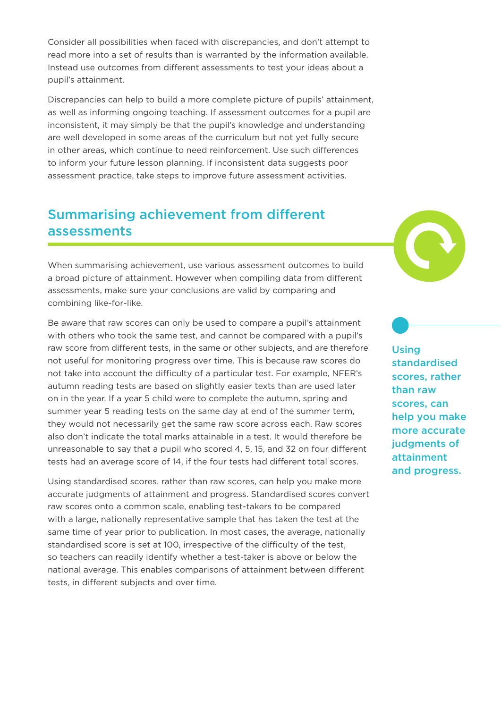Consider all possibilities when faced with discrepancies, and don't attempt to read more into a set of results than is warranted by the information available. Instead use outcomes from different assessments to test your ideas about a pupil's attainment.

Discrepancies can help to build a more complete picture of pupils' attainment, as well as informing ongoing teaching. If assessment outcomes for a pupil are inconsistent, it may simply be that the pupil's knowledge and understanding are well developed in some areas of the curriculum but not yet fully secure in other areas, which continue to need reinforcement. Use such differences to inform your future lesson planning. If inconsistent data suggests poor assessment practice, take steps to improve future assessment activities.

#### Summarising achievement from different assessments

When summarising achievement, use various assessment outcomes to build a broad picture of attainment. However when compiling data from different assessments, make sure your conclusions are valid by comparing and combining like-for-like.

Be aware that raw scores can only be used to compare a pupil's attainment with others who took the same test, and cannot be compared with a pupil's raw score from different tests, in the same or other subjects, and are therefore not useful for monitoring progress over time. This is because raw scores do not take into account the difficulty of a particular test. For example, NFER's autumn reading tests are based on slightly easier texts than are used later on in the year. If a year 5 child were to complete the autumn, spring and summer year 5 reading tests on the same day at end of the summer term, they would not necessarily get the same raw score across each. Raw scores also don't indicate the total marks attainable in a test. It would therefore be unreasonable to say that a pupil who scored 4, 5, 15, and 32 on four different tests had an average score of 14, if the four tests had different total scores.

Using standardised scores, rather than raw scores, can help you make more accurate judgments of attainment and progress. Standardised scores convert raw scores onto a common scale, enabling test-takers to be compared with a large, nationally representative sample that has taken the test at the same time of year prior to publication. In most cases, the average, nationally standardised score is set at 100, irrespective of the difficulty of the test, so teachers can readily identify whether a test-taker is above or below the national average. This enables comparisons of attainment between different tests, in different subjects and over time.



**Using** standardised scores, rather than raw scores, can help you make more accurate judgments of attainment and progress.